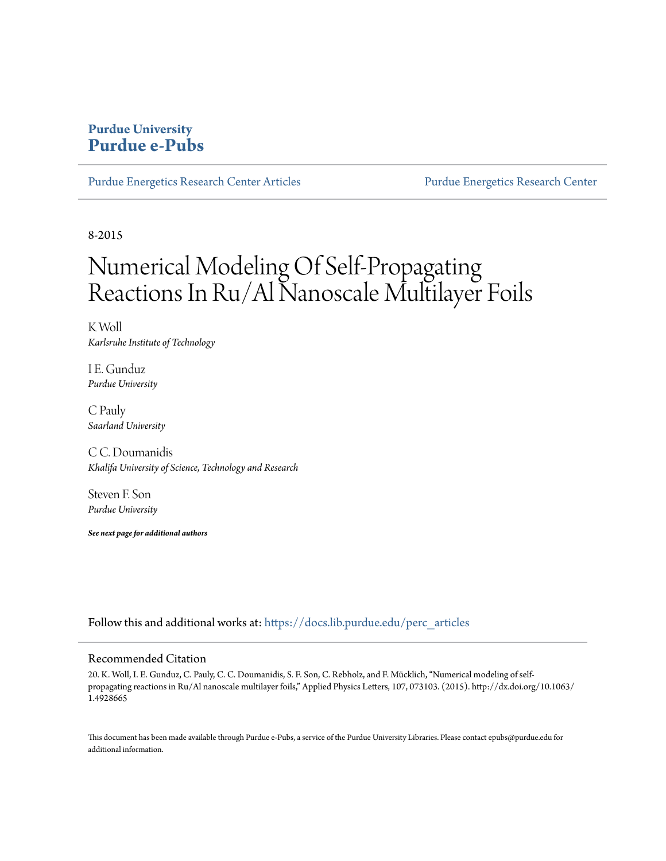## **Purdue University [Purdue e-Pubs](https://docs.lib.purdue.edu?utm_source=docs.lib.purdue.edu%2Fperc_articles%2F17&utm_medium=PDF&utm_campaign=PDFCoverPages)**

[Purdue Energetics Research Center Articles](https://docs.lib.purdue.edu/perc_articles?utm_source=docs.lib.purdue.edu%2Fperc_articles%2F17&utm_medium=PDF&utm_campaign=PDFCoverPages) [Purdue Energetics Research Center](https://docs.lib.purdue.edu/perc?utm_source=docs.lib.purdue.edu%2Fperc_articles%2F17&utm_medium=PDF&utm_campaign=PDFCoverPages)

8-2015

# Numerical Modeling Of Self-Propagating Reactions In Ru/Al Nanoscale Multilayer Foils

K Woll *Karlsruhe Institute of Technology*

I E. Gunduz *Purdue University*

C Pauly *Saarland University*

C C. Doumanidis *Khalifa University of Science, Technology and Research*

Steven F. Son *Purdue University*

*See next page for additional authors*

Follow this and additional works at: [https://docs.lib.purdue.edu/perc\\_articles](https://docs.lib.purdue.edu/perc_articles?utm_source=docs.lib.purdue.edu%2Fperc_articles%2F17&utm_medium=PDF&utm_campaign=PDFCoverPages)

#### Recommended Citation

20. K. Woll, I. E. Gunduz, C. Pauly, C. C. Doumanidis, S. F. Son, C. Rebholz, and F. Mücklich, "Numerical modeling of selfpropagating reactions in Ru/Al nanoscale multilayer foils," Applied Physics Letters, 107, 073103. (2015). http://dx.doi.org/10.1063/ 1.4928665

This document has been made available through Purdue e-Pubs, a service of the Purdue University Libraries. Please contact epubs@purdue.edu for additional information.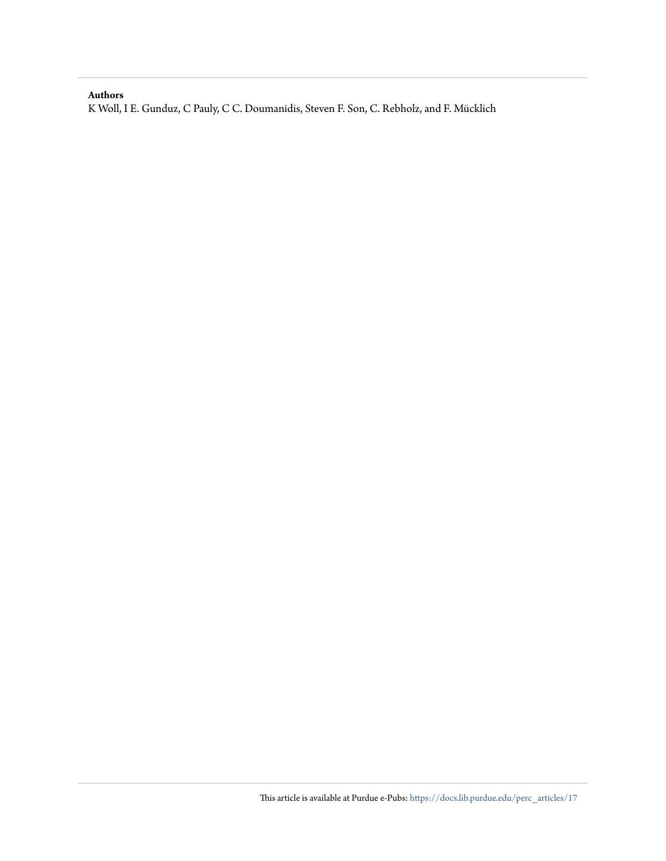#### **Authors**

K Woll, I E. Gunduz, C Pauly, C C. Doumanidis, Steven F. Son, C. Rebholz, and F. Mücklich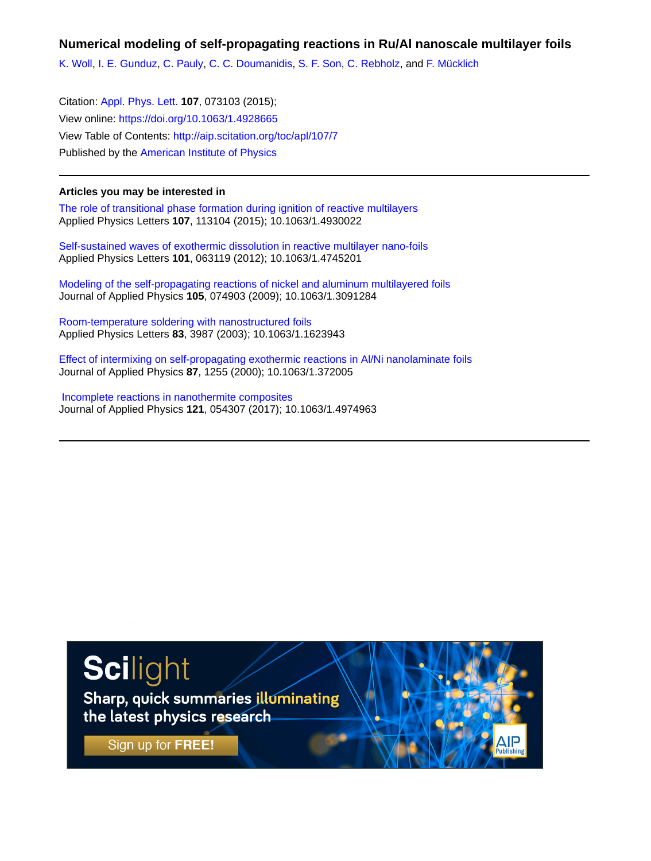**Numerical modeling of self-propagating reactions in Ru/Al nanoscale multilayer foils**

[K. Woll,](http://aip.scitation.org/author/Woll%2C+K) [I. E. Gunduz,](http://aip.scitation.org/author/Gunduz%2C+I+E) [C. Pauly](http://aip.scitation.org/author/Pauly%2C+C), [C. C. Doumanidis](http://aip.scitation.org/author/Doumanidis%2C+C+C), [S. F. Son](http://aip.scitation.org/author/Son%2C+S+F), [C. Rebholz](http://aip.scitation.org/author/Rebholz%2C+C), and [F. Mücklich](http://aip.scitation.org/author/M%C3%BCcklich%2C+F)

Citation: [Appl. Phys. Lett.](/loi/apl) **107**, 073103 (2015); View online: <https://doi.org/10.1063/1.4928665> View Table of Contents: <http://aip.scitation.org/toc/apl/107/7> Published by the [American Institute of Physics](http://aip.scitation.org/publisher/)

#### **Articles you may be interested in**

[The role of transitional phase formation during ignition of reactive multilayers](http://aip.scitation.org/doi/abs/10.1063/1.4930022) Applied Physics Letters **107**, 113104 (2015); 10.1063/1.4930022

[Self-sustained waves of exothermic dissolution in reactive multilayer nano-foils](http://aip.scitation.org/doi/abs/10.1063/1.4745201) Applied Physics Letters **101**, 063119 (2012); 10.1063/1.4745201

[Modeling of the self-propagating reactions of nickel and aluminum multilayered foils](http://aip.scitation.org/doi/abs/10.1063/1.3091284) Journal of Applied Physics **105**, 074903 (2009); 10.1063/1.3091284

[Room-temperature soldering with nanostructured foils](http://aip.scitation.org/doi/abs/10.1063/1.1623943) Applied Physics Letters **83**, 3987 (2003); 10.1063/1.1623943

[Effect of intermixing on self-propagating exothermic reactions in Al/Ni nanolaminate foils](http://aip.scitation.org/doi/abs/10.1063/1.372005) Journal of Applied Physics **87**, 1255 (2000); 10.1063/1.372005

 [Incomplete reactions in nanothermite composites](http://aip.scitation.org/doi/abs/10.1063/1.4974963) Journal of Applied Physics **121**, 054307 (2017); 10.1063/1.4974963

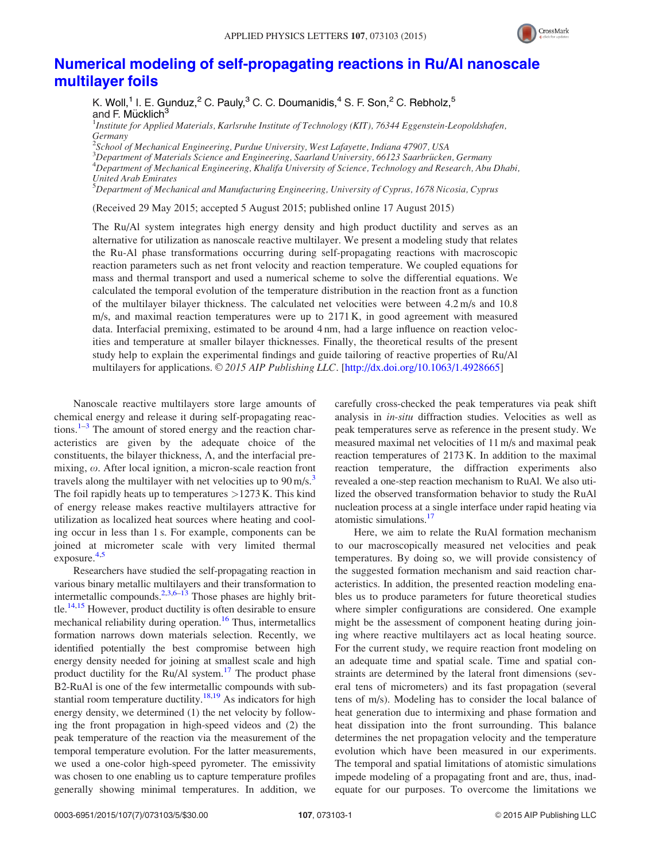

### [Numerical modeling of self-propagating reactions in Ru/Al nanoscale](http://dx.doi.org/10.1063/1.4928665) [multilayer foils](http://dx.doi.org/10.1063/1.4928665)

K. Woll,<sup>1</sup> I. E. Gunduz,<sup>2</sup> C. Pauly,<sup>3</sup> C. C. Doumanidis,<sup>4</sup> S. F. Son,<sup>2</sup> C. Rebholz,<sup>5</sup> and F. Mücklich<sup>3</sup>

<sup>1</sup>Institute for Applied Materials, Karlsruhe Institute of Technology (KIT), 76344 Eggenstein-Leopoldshafen, Germany

<sup>2</sup>School of Mechanical Engineering, Purdue University, West Lafayette, Indiana 47907, USA

<sup>3</sup>Department of Materials Science and Engineering, Saarland University, 66123 Saarbrücken, Germany<br><sup>4</sup>Department of Mechanical Engineering, Khalifa University of Science, Tachnology and Pesearch, Abu

 $^4$ Department of Mechanical Engineering, Khalifa University of Science, Technology and Research, Abu Dhabi, United Arab Emirates

<sup>5</sup>Department of Mechanical and Manufacturing Engineering, University of Cyprus, 1678 Nicosia, Cyprus

(Received 29 May 2015; accepted 5 August 2015; published online 17 August 2015)

The Ru/Al system integrates high energy density and high product ductility and serves as an alternative for utilization as nanoscale reactive multilayer. We present a modeling study that relates the Ru-Al phase transformations occurring during self-propagating reactions with macroscopic reaction parameters such as net front velocity and reaction temperature. We coupled equations for mass and thermal transport and used a numerical scheme to solve the differential equations. We calculated the temporal evolution of the temperature distribution in the reaction front as a function of the multilayer bilayer thickness. The calculated net velocities were between 4.2 m/s and 10.8 m/s, and maximal reaction temperatures were up to 2171 K, in good agreement with measured data. Interfacial premixing, estimated to be around 4 nm, had a large influence on reaction velocities and temperature at smaller bilayer thicknesses. Finally, the theoretical results of the present study help to explain the experimental findings and guide tailoring of reactive properties of Ru/Al multilayers for applications.  $\odot$  2015 AIP Publishing LLC. [\[http://dx.doi.org/10.1063/1.4928665](http://dx.doi.org/10.1063/1.4928665)]

Nanoscale reactive multilayers store large amounts of chemical energy and release it during self-propagating reactions. $1-3$  The amount of stored energy and the reaction characteristics are given by the adequate choice of the constituents, the bilayer thickness,  $\Lambda$ , and the interfacial premixing,  $\omega$ . After local ignition, a micron-scale reaction front travels along the multilayer with net velocities up to  $90 \text{ m/s}$ . The foil rapidly heats up to temperatures  $>1273$  K. This kind of energy release makes reactive multilayers attractive for utilization as localized heat sources where heating and cooling occur in less than 1 s. For example, components can be joined at micrometer scale with very limited thermal exposure.<sup>[4,5](#page-7-0)</sup>

Researchers have studied the self-propagating reaction in various binary metallic multilayers and their transformation to intermetallic compounds.<sup>[2,3,6–13](#page-7-0)</sup> Those phases are highly brittle.<sup>14,15</sup> However, product ductility is often desirable to ensure mechanical reliability during operation.<sup>16</sup> Thus, intermetallics formation narrows down materials selection. Recently, we identified potentially the best compromise between high energy density needed for joining at smallest scale and high product ductility for the Ru/Al system.<sup>17</sup> The product phase B2-RuAl is one of the few intermetallic compounds with sub-stantial room temperature ductility.<sup>[18,19](#page-7-0)</sup> As indicators for high energy density, we determined (1) the net velocity by following the front propagation in high-speed videos and (2) the peak temperature of the reaction via the measurement of the temporal temperature evolution. For the latter measurements, we used a one-color high-speed pyrometer. The emissivity was chosen to one enabling us to capture temperature profiles generally showing minimal temperatures. In addition, we carefully cross-checked the peak temperatures via peak shift analysis in in-situ diffraction studies. Velocities as well as peak temperatures serve as reference in the present study. We measured maximal net velocities of 11 m/s and maximal peak reaction temperatures of 2173 K. In addition to the maximal reaction temperature, the diffraction experiments also revealed a one-step reaction mechanism to RuAl. We also utilized the observed transformation behavior to study the RuAl nucleation process at a single interface under rapid heating via atomistic simulations. $17$ 

Here, we aim to relate the RuAl formation mechanism to our macroscopically measured net velocities and peak temperatures. By doing so, we will provide consistency of the suggested formation mechanism and said reaction characteristics. In addition, the presented reaction modeling enables us to produce parameters for future theoretical studies where simpler configurations are considered. One example might be the assessment of component heating during joining where reactive multilayers act as local heating source. For the current study, we require reaction front modeling on an adequate time and spatial scale. Time and spatial constraints are determined by the lateral front dimensions (several tens of micrometers) and its fast propagation (several tens of m/s). Modeling has to consider the local balance of heat generation due to intermixing and phase formation and heat dissipation into the front surrounding. This balance determines the net propagation velocity and the temperature evolution which have been measured in our experiments. The temporal and spatial limitations of atomistic simulations impede modeling of a propagating front and are, thus, inadequate for our purposes. To overcome the limitations we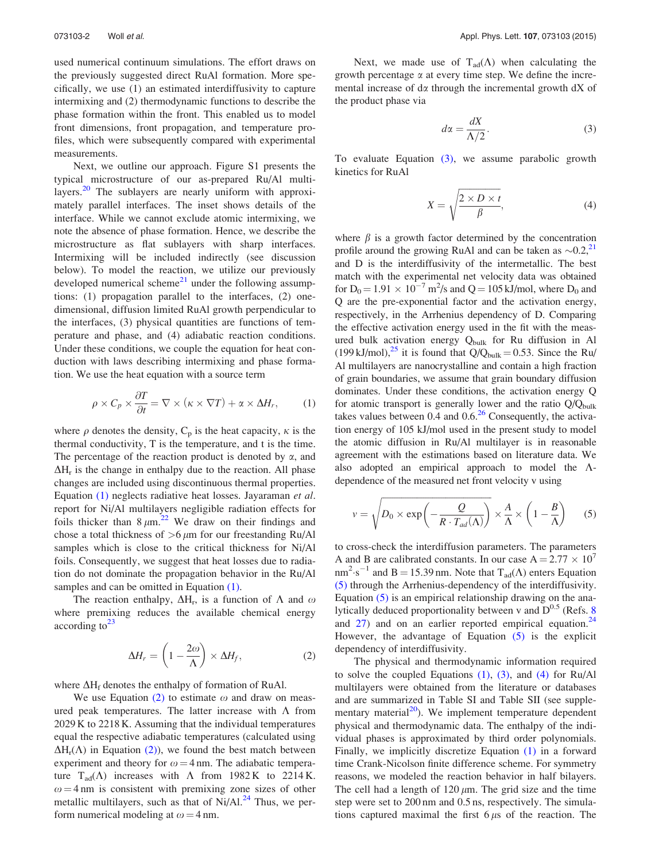<span id="page-4-0"></span>used numerical continuum simulations. The effort draws on the previously suggested direct RuAl formation. More specifically, we use (1) an estimated interdiffusivity to capture intermixing and (2) thermodynamic functions to describe the phase formation within the front. This enabled us to model front dimensions, front propagation, and temperature profiles, which were subsequently compared with experimental measurements.

Next, we outline our approach. Figure S1 presents the typical microstructure of our as-prepared Ru/Al multi-layers.<sup>[20](#page-7-0)</sup> The sublayers are nearly uniform with approximately parallel interfaces. The inset shows details of the interface. While we cannot exclude atomic intermixing, we note the absence of phase formation. Hence, we describe the microstructure as flat sublayers with sharp interfaces. Intermixing will be included indirectly (see discussion below). To model the reaction, we utilize our previously developed numerical scheme<sup>[21](#page-7-0)</sup> under the following assumptions: (1) propagation parallel to the interfaces, (2) onedimensional, diffusion limited RuAl growth perpendicular to the interfaces, (3) physical quantities are functions of temperature and phase, and (4) adiabatic reaction conditions. Under these conditions, we couple the equation for heat conduction with laws describing intermixing and phase formation. We use the heat equation with a source term

$$
\rho \times C_p \times \frac{\partial T}{\partial t} = \nabla \times (\kappa \times \nabla T) + \alpha \times \Delta H_r, \qquad (1)
$$

where  $\rho$  denotes the density, C<sub>p</sub> is the heat capacity,  $\kappa$  is the thermal conductivity, T is the temperature, and t is the time. The percentage of the reaction product is denoted by  $\alpha$ , and  $\Delta H_r$  is the change in enthalpy due to the reaction. All phase changes are included using discontinuous thermal properties. Equation (1) neglects radiative heat losses. Jayaraman et al. report for Ni/Al multilayers negligible radiation effects for foils thicker than  $8 \mu m^{22}$  $8 \mu m^{22}$  $8 \mu m^{22}$  We draw on their findings and chose a total thickness of  $>6 \mu m$  for our freestanding Ru/Al samples which is close to the critical thickness for Ni/Al foils. Consequently, we suggest that heat losses due to radiation do not dominate the propagation behavior in the Ru/Al samples and can be omitted in Equation  $(1)$ .

The reaction enthalpy,  $\Delta H_r$ , is a function of  $\Lambda$  and  $\omega$ where premixing reduces the available chemical energy according to  $23$ 

$$
\Delta H_r = \left(1 - \frac{2\omega}{\Lambda}\right) \times \Delta H_f, \tag{2}
$$

where  $\Delta H_f$  denotes the enthalpy of formation of RuAl.

We use Equation (2) to estimate  $\omega$  and draw on measured peak temperatures. The latter increase with  $\Lambda$  from 2029 K to 2218 K. Assuming that the individual temperatures equal the respective adiabatic temperatures (calculated using  $\Delta H_r(\Lambda)$  in Equation (2)), we found the best match between experiment and theory for  $\omega = 4$  nm. The adiabatic temperature T<sub>ad</sub>( $\Lambda$ ) increases with  $\Lambda$  from 1982 K to 2214 K.  $\omega = 4$  nm is consistent with premixing zone sizes of other metallic multilayers, such as that of  $Ni/Al.<sup>24</sup>$  $Ni/Al.<sup>24</sup>$  $Ni/Al.<sup>24</sup>$  Thus, we perform numerical modeling at  $\omega = 4$  nm.

Next, we made use of  $T_{ad}(\Lambda)$  when calculating the growth percentage  $\alpha$  at every time step. We define the incremental increase of  $d\alpha$  through the incremental growth  $dX$  of the product phase via

$$
d\alpha = \frac{dX}{\Lambda/2}.\tag{3}
$$

To evaluate Equation (3), we assume parabolic growth kinetics for RuAl

$$
X = \sqrt{\frac{2 \times D \times t}{\beta}},\tag{4}
$$

where  $\beta$  is a growth factor determined by the concentration profile around the growing RuAl and can be taken as  $\sim 0.2$ ,<sup>[21](#page-7-0)</sup> and D is the interdiffusivity of the intermetallic. The best match with the experimental net velocity data was obtained for  $D_0 = 1.91 \times 10^{-7}$  m<sup>2</sup>/s and Q = 105 kJ/mol, where  $D_0$  and Q are the pre-exponential factor and the activation energy, respectively, in the Arrhenius dependency of D. Comparing the effective activation energy used in the fit with the measured bulk activation energy Q<sub>bulk</sub> for Ru diffusion in Al (199 kJ/mol),<sup>25</sup> it is found that  $Q/Q_{bulk} = 0.53$ . Since the Ru/ Al multilayers are nanocrystalline and contain a high fraction of grain boundaries, we assume that grain boundary diffusion dominates. Under these conditions, the activation energy Q for atomic transport is generally lower and the ratio  $Q/Q_{bulk}$ takes values between  $0.4$  and  $0.6<sup>26</sup>$  Consequently, the activation energy of 105 kJ/mol used in the present study to model the atomic diffusion in Ru/Al multilayer is in reasonable agreement with the estimations based on literature data. We also adopted an empirical approach to model the  $\Lambda$ dependence of the measured net front velocity v using

$$
v = \sqrt{D_0 \times \exp\left(-\frac{Q}{R \cdot T_{ad}(\Lambda)}\right)} \times \frac{A}{\Lambda} \times \left(1 - \frac{B}{\Lambda}\right) \tag{5}
$$

to cross-check the interdiffusion parameters. The parameters A and B are calibrated constants. In our case  $A = 2.77 \times 10^7$  $nm^2 \cdot s^{-1}$  and B = 15.39 nm. Note that  $T_{ad}(\Lambda)$  enters Equation (5) through the Arrhenius-dependency of the interdiffusivity. Equation  $(5)$  is an empirical relationship drawing on the analytically deduced proportionality between v and  $D^{0.5}$  (Refs. [8](#page-7-0)) and  $27$ ) and on an earlier reported empirical equation.<sup>[24](#page-7-0)</sup> However, the advantage of Equation (5) is the explicit dependency of interdiffusivity.

The physical and thermodynamic information required to solve the coupled Equations  $(1)$ ,  $(3)$ , and  $(4)$  for Ru/Al multilayers were obtained from the literature or databases and are summarized in Table SI and Table SII (see supplementary material $^{20}$ ). We implement temperature dependent physical and thermodynamic data. The enthalpy of the individual phases is approximated by third order polynomials. Finally, we implicitly discretize Equation (1) in a forward time Crank-Nicolson finite difference scheme. For symmetry reasons, we modeled the reaction behavior in half bilayers. The cell had a length of  $120 \mu m$ . The grid size and the time step were set to 200 nm and 0.5 ns, respectively. The simulations captured maximal the first  $6 \mu s$  of the reaction. The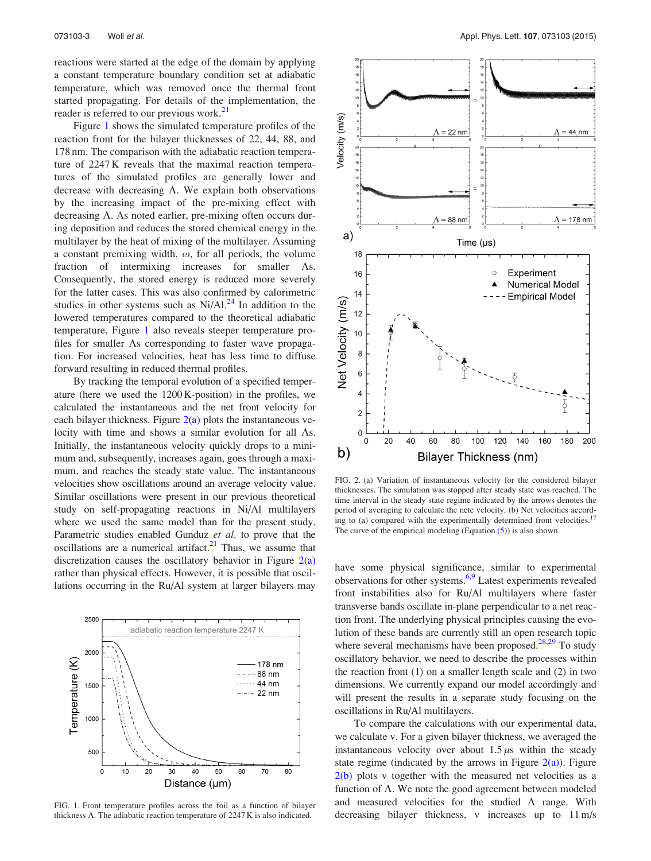<span id="page-5-0"></span>reactions were started at the edge of the domain by applying a constant temperature boundary condition set at adiabatic temperature, which was removed once the thermal front started propagating. For details of the implementation, the reader is referred to our previous work.<sup>[21](#page-7-0)</sup>

Figure 1 shows the simulated temperature profiles of the reaction front for the bilayer thicknesses of 22, 44, 88, and 178 nm. The comparison with the adiabatic reaction temperature of 2247 K reveals that the maximal reaction temperatures of the simulated profiles are generally lower and decrease with decreasing  $\Lambda$ . We explain both observations by the increasing impact of the pre-mixing effect with decreasing  $\Lambda$ . As noted earlier, pre-mixing often occurs during deposition and reduces the stored chemical energy in the multilayer by the heat of mixing of the multilayer. Assuming a constant premixing width,  $\omega$ , for all periods, the volume fraction of intermixing increases for smaller  $\Lambda$ s. Consequently, the stored energy is reduced more severely for the latter cases. This was also confirmed by calorimetric studies in other systems such as  $Ni/Al.<sup>24</sup>$  $Ni/Al.<sup>24</sup>$  $Ni/Al.<sup>24</sup>$  In addition to the lowered temperatures compared to the theoretical adiabatic temperature, Figure 1 also reveals steeper temperature profiles for smaller  $\Lambda$ s corresponding to faster wave propagation. For increased velocities, heat has less time to diffuse forward resulting in reduced thermal profiles.

By tracking the temporal evolution of a specified temperature (here we used the 1200 K-position) in the profiles, we calculated the instantaneous and the net front velocity for each bilayer thickness. Figure  $2(a)$  plots the instantaneous velocity with time and shows a similar evolution for all  $\Lambda$ s. Initially, the instantaneous velocity quickly drops to a minimum and, subsequently, increases again, goes through a maximum, and reaches the steady state value. The instantaneous velocities show oscillations around an average velocity value. Similar oscillations were present in our previous theoretical study on self-propagating reactions in Ni/Al multilayers where we used the same model than for the present study. Parametric studies enabled Gunduz et al. to prove that the oscillations are a numerical artifact. $21$  Thus, we assume that discretization causes the oscillatory behavior in Figure  $2(a)$ rather than physical effects. However, it is possible that oscillations occurring in the Ru/Al system at larger bilayers may



FIG. 1. Front temperature profiles across the foil as a function of bilayer thickness  $\Lambda$ . The adiabatic reaction temperature of 2247 K is also indicated.



FIG. 2. (a) Variation of instantaneous velocity for the considered bilayer thicknesses. The simulation was stopped after steady state was reached. The time interval in the steady state regime indicated by the arrows denotes the period of averaging to calculate the nete velocity. (b) Net velocities according to (a) compared with the experimentally determined front velocities.<sup>17</sup> The curve of the empirical modeling (Equation  $(5)$ ) is also shown.

have some physical significance, similar to experimental observations for other systems[.6,9](#page-7-0) Latest experiments revealed front instabilities also for Ru/Al multilayers where faster transverse bands oscillate in-plane perpendicular to a net reaction front. The underlying physical principles causing the evolution of these bands are currently still an open research topic where several mechanisms have been proposed. $^{28,29}$  To study oscillatory behavior, we need to describe the processes within the reaction front (1) on a smaller length scale and (2) in two dimensions. We currently expand our model accordingly and will present the results in a separate study focusing on the oscillations in Ru/Al multilayers.

To compare the calculations with our experimental data, we calculate v. For a given bilayer thickness, we averaged the instantaneous velocity over about  $1.5 \mu s$  within the steady state regime (indicated by the arrows in Figure  $2(a)$ ). Figure  $2(b)$  plots v together with the measured net velocities as a function of  $\Lambda$ . We note the good agreement between modeled and measured velocities for the studied  $\Lambda$  range. With decreasing bilayer thickness, v increases up to 11 m/s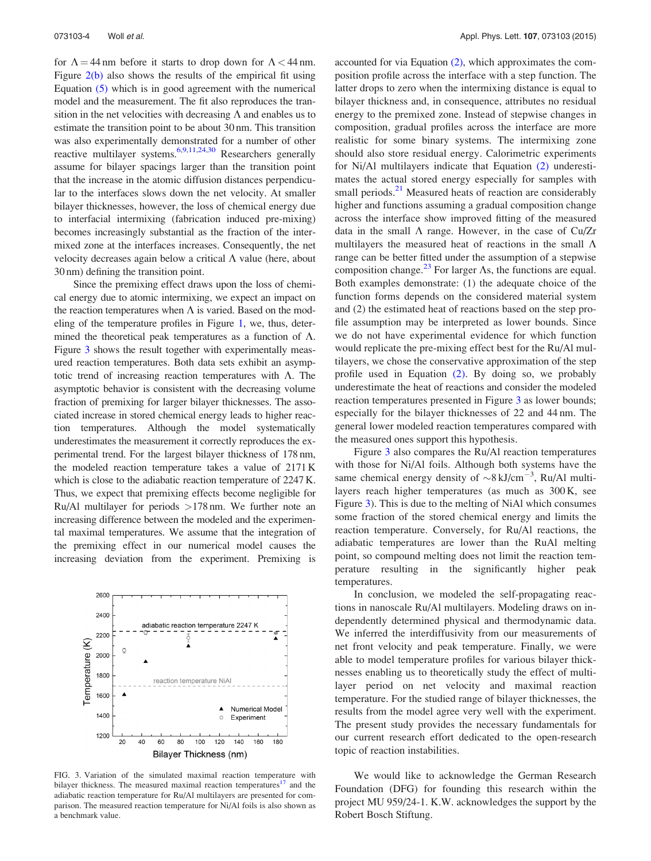for  $\Lambda = 44$  nm before it starts to drop down for  $\Lambda < 44$  nm. Figure  $2(b)$  also shows the results of the empirical fit using Equation [\(5\)](#page-4-0) which is in good agreement with the numerical model and the measurement. The fit also reproduces the transition in the net velocities with decreasing  $\Lambda$  and enables us to estimate the transition point to be about 30 nm. This transition was also experimentally demonstrated for a number of other reactive multilayer systems.<sup>6,9,11,24,30</sup> Researchers generally assume for bilayer spacings larger than the transition point that the increase in the atomic diffusion distances perpendicular to the interfaces slows down the net velocity. At smaller bilayer thicknesses, however, the loss of chemical energy due to interfacial intermixing (fabrication induced pre-mixing) becomes increasingly substantial as the fraction of the intermixed zone at the interfaces increases. Consequently, the net velocity decreases again below a critical  $\Lambda$  value (here, about 30 nm) defining the transition point.

Since the premixing effect draws upon the loss of chemical energy due to atomic intermixing, we expect an impact on the reaction temperatures when  $\Lambda$  is varied. Based on the modeling of the temperature profiles in Figure [1,](#page-5-0) we, thus, determined the theoretical peak temperatures as a function of  $\Lambda$ . Figure 3 shows the result together with experimentally measured reaction temperatures. Both data sets exhibit an asymptotic trend of increasing reaction temperatures with  $\Lambda$ . The asymptotic behavior is consistent with the decreasing volume fraction of premixing for larger bilayer thicknesses. The associated increase in stored chemical energy leads to higher reaction temperatures. Although the model systematically underestimates the measurement it correctly reproduces the experimental trend. For the largest bilayer thickness of 178 nm, the modeled reaction temperature takes a value of 2171 K which is close to the adiabatic reaction temperature of 2247 K. Thus, we expect that premixing effects become negligible for Ru/Al multilayer for periods  $>178$  nm. We further note an increasing difference between the modeled and the experimental maximal temperatures. We assume that the integration of the premixing effect in our numerical model causes the increasing deviation from the experiment. Premixing is



FIG. 3. Variation of the simulated maximal reaction temperature with bilayer thickness. The measured maximal reaction temperatures<sup>17</sup> and the adiabatic reaction temperature for Ru/Al multilayers are presented for comparison. The measured reaction temperature for Ni/Al foils is also shown as a benchmark value.

accounted for via Equation [\(2\)](#page-4-0), which approximates the composition profile across the interface with a step function. The latter drops to zero when the intermixing distance is equal to bilayer thickness and, in consequence, attributes no residual energy to the premixed zone. Instead of stepwise changes in composition, gradual profiles across the interface are more realistic for some binary systems. The intermixing zone should also store residual energy. Calorimetric experiments for Ni/Al multilayers indicate that Equation [\(2\)](#page-4-0) underestimates the actual stored energy especially for samples with small periods.<sup>[21](#page-7-0)</sup> Measured heats of reaction are considerably higher and functions assuming a gradual composition change across the interface show improved fitting of the measured data in the small  $\Lambda$  range. However, in the case of Cu/Zr multilayers the measured heat of reactions in the small  $\Lambda$ range can be better fitted under the assumption of a stepwise composition change.<sup>[23](#page-7-0)</sup> For larger  $\Lambda$ s, the functions are equal. Both examples demonstrate: (1) the adequate choice of the function forms depends on the considered material system and (2) the estimated heat of reactions based on the step profile assumption may be interpreted as lower bounds. Since we do not have experimental evidence for which function would replicate the pre-mixing effect best for the Ru/Al multilayers, we chose the conservative approximation of the step profile used in Equation [\(2\).](#page-4-0) By doing so, we probably underestimate the heat of reactions and consider the modeled reaction temperatures presented in Figure 3 as lower bounds; especially for the bilayer thicknesses of 22 and 44 nm. The general lower modeled reaction temperatures compared with the measured ones support this hypothesis.

Figure 3 also compares the Ru/Al reaction temperatures with those for Ni/Al foils. Although both systems have the same chemical energy density of  $\sim$ 8 kJ/cm<sup>-3</sup>, Ru/Al multilayers reach higher temperatures (as much as 300 K, see Figure 3). This is due to the melting of NiAl which consumes some fraction of the stored chemical energy and limits the reaction temperature. Conversely, for Ru/Al reactions, the adiabatic temperatures are lower than the RuAl melting point, so compound melting does not limit the reaction temperature resulting in the significantly higher peak temperatures.

In conclusion, we modeled the self-propagating reactions in nanoscale Ru/Al multilayers. Modeling draws on independently determined physical and thermodynamic data. We inferred the interdiffusivity from our measurements of net front velocity and peak temperature. Finally, we were able to model temperature profiles for various bilayer thicknesses enabling us to theoretically study the effect of multilayer period on net velocity and maximal reaction temperature. For the studied range of bilayer thicknesses, the results from the model agree very well with the experiment. The present study provides the necessary fundamentals for our current research effort dedicated to the open-research topic of reaction instabilities.

We would like to acknowledge the German Research Foundation (DFG) for founding this research within the project MU 959/24-1. K.W. acknowledges the support by the Robert Bosch Stiftung.